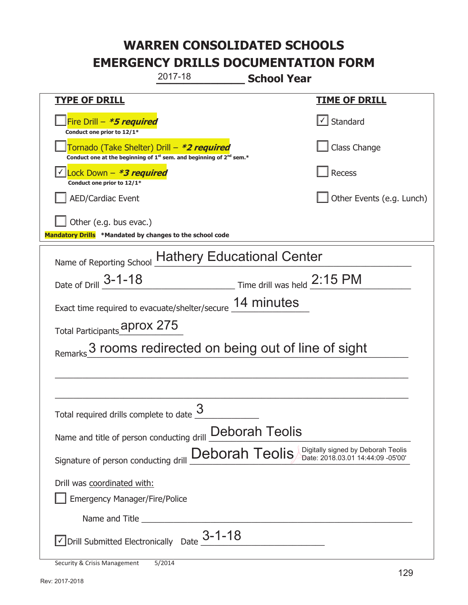|                                                                                    | 2017-18                                                                                     | <b>School Year</b>                                                                        |  |
|------------------------------------------------------------------------------------|---------------------------------------------------------------------------------------------|-------------------------------------------------------------------------------------------|--|
| <b>TYPE OF DRILL</b>                                                               |                                                                                             | <b>TIME OF DRILL</b>                                                                      |  |
| Fire Drill - *5 required<br>Conduct one prior to 12/1*                             |                                                                                             | $\lfloor \angle \rfloor$ Standard                                                         |  |
| Tornado (Take Shelter) Drill – *2 required                                         | Conduct one at the beginning of 1 <sup>st</sup> sem. and beginning of 2 <sup>nd</sup> sem.* | Class Change                                                                              |  |
| ock Down - <b>*3 required</b><br>Conduct one prior to 12/1*                        |                                                                                             | <b>Recess</b>                                                                             |  |
| <b>AED/Cardiac Event</b>                                                           |                                                                                             | Other Events (e.g. Lunch)                                                                 |  |
| Other (e.g. bus evac.)<br>Mandatory Drills *Mandated by changes to the school code |                                                                                             |                                                                                           |  |
| Name of Reporting School Hathery Educational Center                                |                                                                                             |                                                                                           |  |
| Date of Drill 3-1-18                                                               |                                                                                             | Time drill was held 2:15 PM                                                               |  |
| Exact time required to evacuate/shelter/secure 14 minutes                          |                                                                                             |                                                                                           |  |
| Total Participants <b>Aprox 275</b>                                                |                                                                                             |                                                                                           |  |
|                                                                                    |                                                                                             | 3 rooms redirected on being out of line of sight                                          |  |
|                                                                                    |                                                                                             |                                                                                           |  |
| Total required drills complete to date $\frac{6}{5}$                               | 3                                                                                           |                                                                                           |  |
| Name and title of person conducting drill Deborah Teolis                           |                                                                                             |                                                                                           |  |
| Signature of person conducting drill                                               |                                                                                             | Digitally signed by Deborah Teolis<br>Deborah Teolis<br>Date: 2018.03.01 14:44:09 -05'00' |  |
| Drill was coordinated with:                                                        |                                                                                             |                                                                                           |  |
| <b>Emergency Manager/Fire/Police</b>                                               |                                                                                             |                                                                                           |  |
|                                                                                    |                                                                                             |                                                                                           |  |
| $\vee$ Drill Submitted Electronically Date $3-1-18$                                |                                                                                             |                                                                                           |  |
| Security & Crisis Management                                                       | 5/2014                                                                                      |                                                                                           |  |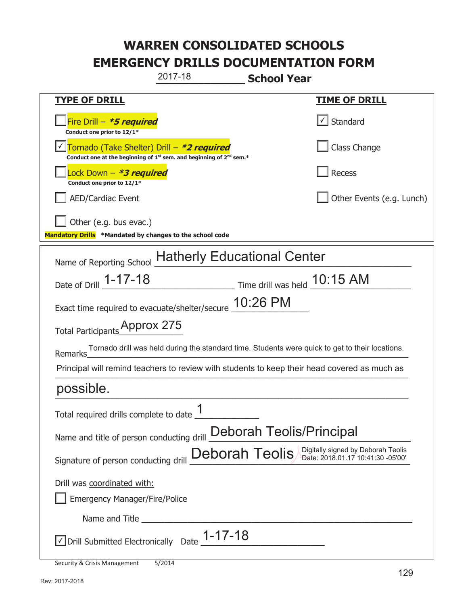| 2017-18<br><b>School Year</b>                                                                                                             |                                                                         |  |
|-------------------------------------------------------------------------------------------------------------------------------------------|-------------------------------------------------------------------------|--|
| <b>TYPE OF DRILL</b>                                                                                                                      | <u>TIME OF DRILL</u>                                                    |  |
| Fire Drill - *5 required<br>Conduct one prior to 12/1*                                                                                    | $\lfloor \angle \rfloor$ Standard                                       |  |
| Tornado (Take Shelter) Drill - *2 required<br>Conduct one at the beginning of 1 <sup>st</sup> sem. and beginning of 2 <sup>nd</sup> sem.* | Class Change                                                            |  |
| Lock Down – <b>*<i>3 required</i></b><br>Conduct one prior to 12/1*                                                                       | <b>Recess</b>                                                           |  |
| <b>AED/Cardiac Event</b>                                                                                                                  | Other Events (e.g. Lunch)                                               |  |
| Other (e.g. bus evac.)<br>Mandatory Drills *Mandated by changes to the school code                                                        |                                                                         |  |
| Name of Reporting School Hatherly Educational Center                                                                                      |                                                                         |  |
| Time drill was held 10:15 AM<br>Date of Drill 1-17-18                                                                                     |                                                                         |  |
| Exact time required to evacuate/shelter/secure 10:26 PM                                                                                   |                                                                         |  |
| Total Participants_Prox 275                                                                                                               |                                                                         |  |
| Tornado drill was held during the standard time. Students were quick to get to their locations.<br>Remarks                                |                                                                         |  |
| Principal will remind teachers to review with students to keep their head covered as much as                                              |                                                                         |  |
| possible.                                                                                                                                 |                                                                         |  |
| 1<br>Total required drills complete to date                                                                                               |                                                                         |  |
| Name and title of person conducting drill                                                                                                 | <b>Deborah Teolis/Principal</b>                                         |  |
| Deborah Teolis<br>Signature of person conducting drill                                                                                    | Digitally signed by Deborah Teolis<br>Date: 2018.01.17 10:41:30 -05'00' |  |
| Drill was coordinated with:<br><b>Emergency Manager/Fire/Police</b>                                                                       |                                                                         |  |
|                                                                                                                                           |                                                                         |  |
| Drill Submitted Electronically Date $\_$ 17-18                                                                                            |                                                                         |  |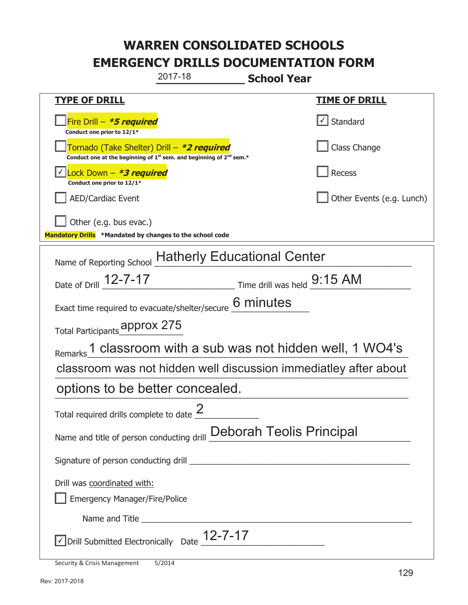|                                                                                             | 2017-18                                    | <b>School Year</b>                                                          |                                                                  |
|---------------------------------------------------------------------------------------------|--------------------------------------------|-----------------------------------------------------------------------------|------------------------------------------------------------------|
| <b>TYPE OF DRILL</b>                                                                        |                                            |                                                                             | <b>TIME OF DRILL</b>                                             |
| Fire Drill - *5 required<br>Conduct one prior to 12/1*                                      |                                            |                                                                             | Standard                                                         |
| Conduct one at the beginning of 1 <sup>st</sup> sem. and beginning of 2 <sup>nd</sup> sem.* | Tornado (Take Shelter) Drill – *2 required |                                                                             | Class Change                                                     |
| Lock Down - *3 required<br>Conduct one prior to 12/1*                                       |                                            |                                                                             | <b>Recess</b>                                                    |
| <b>AED/Cardiac Event</b>                                                                    |                                            |                                                                             | Other Events (e.g. Lunch)                                        |
| Other (e.g. bus evac.)<br>Mandatory Drills *Mandated by changes to the school code          |                                            |                                                                             |                                                                  |
| Name of Reporting School Hatherly Educational Center                                        |                                            |                                                                             |                                                                  |
| Date of Drill _12-7-17                                                                      |                                            | $\frac{9:15 \text{ AM}}{1}$ Time drill was held $\frac{9:15 \text{ AM}}{1}$ |                                                                  |
| Exact time required to evacuate/shelter/secure 6 minutes                                    |                                            |                                                                             |                                                                  |
| Total Participants <b>approx 275</b>                                                        |                                            |                                                                             |                                                                  |
| Remarks                                                                                     |                                            |                                                                             | 1 classroom with a sub was not hidden well, 1 WO4's              |
|                                                                                             |                                            |                                                                             | classroom was not hidden well discussion immediatley after about |
| options to be better concealed.                                                             |                                            |                                                                             |                                                                  |
| Total required drills complete to date $\frac{2}{3}$                                        |                                            |                                                                             |                                                                  |
| Name and title of person conducting drill Deborah Teolis Principal                          |                                            |                                                                             |                                                                  |
|                                                                                             |                                            |                                                                             |                                                                  |
| Drill was coordinated with:                                                                 |                                            |                                                                             |                                                                  |
| <b>Emergency Manager/Fire/Police</b>                                                        |                                            |                                                                             |                                                                  |
|                                                                                             |                                            |                                                                             |                                                                  |
| √Drill Submitted Electronically Date 12-7-17                                                |                                            |                                                                             |                                                                  |
| <b>Security &amp; Crisis Management</b>                                                     | 5/2014                                     |                                                                             |                                                                  |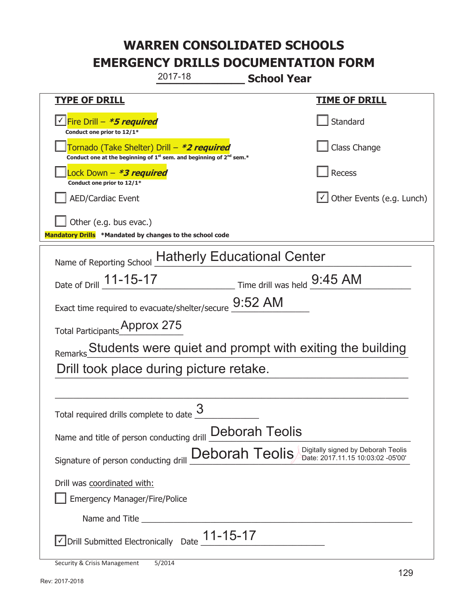| 2017-18<br><b>School Year</b>                                                                                               |                                                                         |  |
|-----------------------------------------------------------------------------------------------------------------------------|-------------------------------------------------------------------------|--|
| <b>TYPE OF DRILL</b>                                                                                                        | <b>TIME OF DRILL</b>                                                    |  |
| √Fire Drill – <i>*<b>5 required</b></i><br>Conduct one prior to 12/1*                                                       | Standard                                                                |  |
| Tornado (Take Shelter) Drill – *2 required<br>Conduct one at the beginning of $1^{st}$ sem. and beginning of $2^{nd}$ sem.* | Class Change                                                            |  |
| ock Down – <b>*3 required</b><br>Conduct one prior to 12/1*                                                                 | Recess                                                                  |  |
| <b>AED/Cardiac Event</b>                                                                                                    | $\cup$ Other Events (e.g. Lunch)                                        |  |
| Other (e.g. bus evac.)                                                                                                      |                                                                         |  |
| Mandatory Drills *Mandated by changes to the school code                                                                    |                                                                         |  |
| Name of Reporting School Hatherly Educational Center                                                                        |                                                                         |  |
| Date of Drill 11-15-17 Time drill was held 9:45 AM                                                                          |                                                                         |  |
| Exact time required to evacuate/shelter/secure 9:52 AM                                                                      |                                                                         |  |
| Total Participants Approx 275                                                                                               |                                                                         |  |
| Remarks Students were quiet and prompt with exiting the building                                                            |                                                                         |  |
| Drill took place during picture retake.                                                                                     |                                                                         |  |
|                                                                                                                             |                                                                         |  |
| く<br>Total required drills complete to date $\frac{0}{2}$                                                                   |                                                                         |  |
| Name and title of person conducting drill Deborah Teolis                                                                    |                                                                         |  |
| Deborah Teolis<br>Signature of person conducting drill                                                                      | Digitally signed by Deborah Teolis<br>Date: 2017.11.15 10:03:02 -05'00' |  |
| Drill was coordinated with:                                                                                                 |                                                                         |  |
| <b>Emergency Manager/Fire/Police</b>                                                                                        |                                                                         |  |
|                                                                                                                             |                                                                         |  |
| Drill Submitted Electronically Date $\underline{\hspace{1em}1}$ 1-15-17                                                     |                                                                         |  |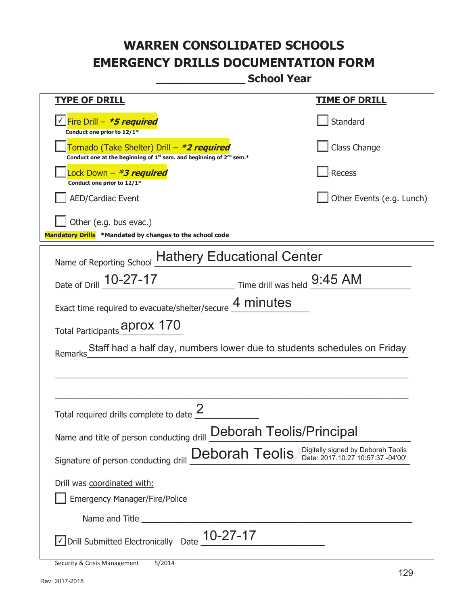**\_\_\_\_\_\_\_\_\_\_\_\_\_ School Year** 

| <b>TYPE OF DRILL</b>                                                                                                                      | <b>TIME OF DRILL</b>      |  |
|-------------------------------------------------------------------------------------------------------------------------------------------|---------------------------|--|
| <u> √ Fire Drill – <i>*5 required</i></u><br>Conduct one prior to 12/1*                                                                   | Standard                  |  |
| Tornado (Take Shelter) Drill – *2 required<br>Conduct one at the beginning of 1 <sup>st</sup> sem. and beginning of 2 <sup>nd</sup> sem.* | Class Change              |  |
| Lock Down - <b>*3 required</b><br>Conduct one prior to 12/1*                                                                              | Recess                    |  |
| <b>AED/Cardiac Event</b>                                                                                                                  | Other Events (e.g. Lunch) |  |
| Other (e.g. bus evac.)<br>Mandatory Drills *Mandated by changes to the school code                                                        |                           |  |
| Name of Reporting School Hathery Educational Center                                                                                       |                           |  |
| Date of Drill 10-27-17 Time drill was held 9:45 AM                                                                                        |                           |  |
| Exact time required to evacuate/shelter/secure 4 minutes                                                                                  |                           |  |
| Total Participants_aprox 170                                                                                                              |                           |  |
| Staff had a half day, numbers lower due to students schedules on Friday<br>Remarks                                                        |                           |  |
| Total required drills complete to date                                                                                                    |                           |  |
| <b>Deborah Teolis/Principal</b><br>Name and title of person conducting drill                                                              |                           |  |
| Digitally signed by Deborah Teolis<br>Deborah Teolis<br>Date: 2017.10.27 10:57:37 -04'00'<br>Signature of person conducting drill         |                           |  |
| Drill was coordinated with:                                                                                                               |                           |  |
| <b>Emergency Manager/Fire/Police</b>                                                                                                      |                           |  |
|                                                                                                                                           |                           |  |
| $\vee$ Drill Submitted Electronically Date $\underline{10}$ -27-17                                                                        |                           |  |

Security & Crisis Management 5/2014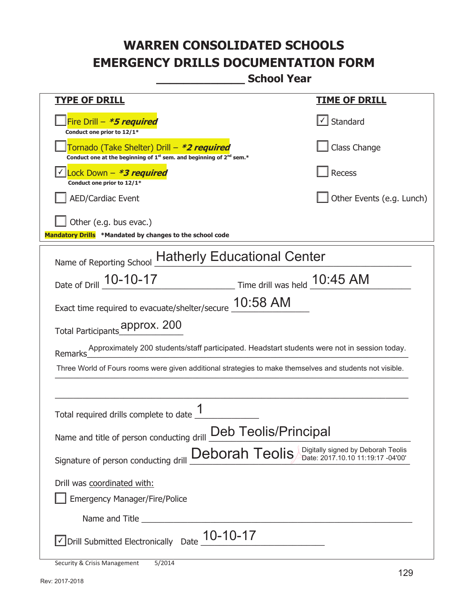**\_\_\_\_\_\_\_\_\_\_\_\_\_ School Year** 

| <u>TYPE OF DRILL</u>                                                                                                                      | <u>TIME OF DRILL</u>      |  |
|-------------------------------------------------------------------------------------------------------------------------------------------|---------------------------|--|
| Fire Drill - *5 required<br>Conduct one prior to 12/1*                                                                                    | Standard                  |  |
| Tornado (Take Shelter) Drill – *2 required<br>Conduct one at the beginning of 1 <sup>st</sup> sem. and beginning of 2 <sup>nd</sup> sem.* | Class Change              |  |
| Lock Down - <b>*3 required</b><br>Conduct one prior to 12/1*                                                                              | <b>Recess</b>             |  |
| <b>AED/Cardiac Event</b>                                                                                                                  | Other Events (e.g. Lunch) |  |
| Other (e.g. bus evac.)<br>Mandatory Drills *Mandated by changes to the school code                                                        |                           |  |
|                                                                                                                                           |                           |  |
| Name of Reporting School Hatherly Educational Center                                                                                      |                           |  |
| Time drill was held 10:45 AM<br>Date of Drill 10-10-17                                                                                    |                           |  |
| Exact time required to evacuate/shelter/secure $\_10:58$ AM                                                                               |                           |  |
| Total Participants_mpprox. 200                                                                                                            |                           |  |
| Approximately 200 students/staff participated. Headstart students were not in session today.<br>-                                         |                           |  |
| Three World of Fours rooms were given additional strategies to make themselves and students not visible.                                  |                           |  |
|                                                                                                                                           |                           |  |
| Total required drills complete to date                                                                                                    |                           |  |
| Deb Teolis/Principal<br>Name and title of person conducting drill                                                                         |                           |  |
| Digitally signed by Deborah Teolis<br>Deborah Teolis<br>Date: 2017.10.10 11:19:17 -04'00'<br>Signature of person conducting drill         |                           |  |
| Drill was coordinated with:                                                                                                               |                           |  |
| <b>Emergency Manager/Fire/Police</b>                                                                                                      |                           |  |
|                                                                                                                                           |                           |  |
| $\sqrt{}$ Drill Submitted Electronically Date $\underline{10}$ -10-17                                                                     |                           |  |

Security & Crisis Management 5/2014